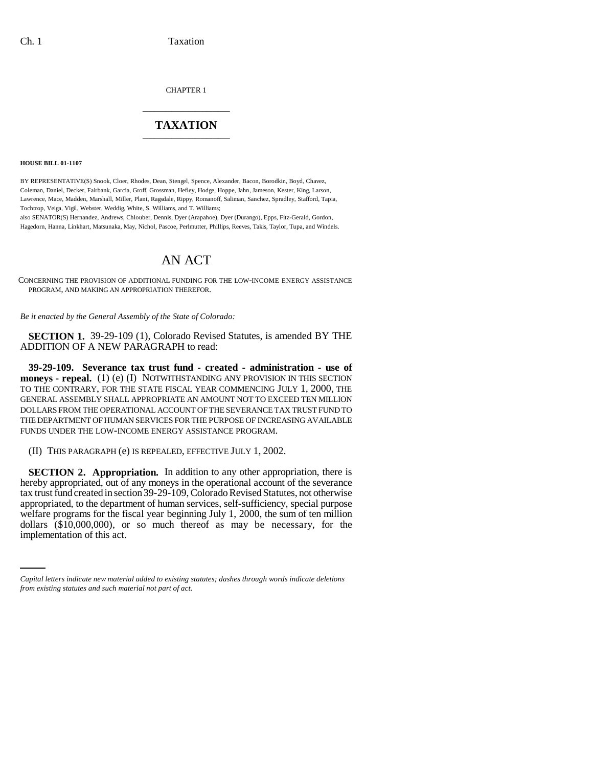CHAPTER 1 \_\_\_\_\_\_\_\_\_\_\_\_\_\_\_

## **TAXATION** \_\_\_\_\_\_\_\_\_\_\_\_\_\_\_

**HOUSE BILL 01-1107**

BY REPRESENTATIVE(S) Snook, Cloer, Rhodes, Dean, Stengel, Spence, Alexander, Bacon, Borodkin, Boyd, Chavez, Coleman, Daniel, Decker, Fairbank, Garcia, Groff, Grossman, Hefley, Hodge, Hoppe, Jahn, Jameson, Kester, King, Larson, Lawrence, Mace, Madden, Marshall, Miller, Plant, Ragsdale, Rippy, Romanoff, Saliman, Sanchez, Spradley, Stafford, Tapia, Tochtrop, Veiga, Vigil, Webster, Weddig, White, S. Williams, and T. Williams;

also SENATOR(S) Hernandez, Andrews, Chlouber, Dennis, Dyer (Arapahoe), Dyer (Durango), Epps, Fitz-Gerald, Gordon, Hagedorn, Hanna, Linkhart, Matsunaka, May, Nichol, Pascoe, Perlmutter, Phillips, Reeves, Takis, Taylor, Tupa, and Windels.

## AN ACT

CONCERNING THE PROVISION OF ADDITIONAL FUNDING FOR THE LOW-INCOME ENERGY ASSISTANCE PROGRAM, AND MAKING AN APPROPRIATION THEREFOR.

*Be it enacted by the General Assembly of the State of Colorado:*

**SECTION 1.** 39-29-109 (1), Colorado Revised Statutes, is amended BY THE ADDITION OF A NEW PARAGRAPH to read:

**39-29-109. Severance tax trust fund - created - administration - use of moneys - repeal.** (1) (e) (I) NOTWITHSTANDING ANY PROVISION IN THIS SECTION TO THE CONTRARY, FOR THE STATE FISCAL YEAR COMMENCING JULY 1, 2000, THE GENERAL ASSEMBLY SHALL APPROPRIATE AN AMOUNT NOT TO EXCEED TEN MILLION DOLLARS FROM THE OPERATIONAL ACCOUNT OF THE SEVERANCE TAX TRUST FUND TO THE DEPARTMENT OF HUMAN SERVICES FOR THE PURPOSE OF INCREASING AVAILABLE FUNDS UNDER THE LOW-INCOME ENERGY ASSISTANCE PROGRAM.

(II) THIS PARAGRAPH (e) IS REPEALED, EFFECTIVE JULY 1, 2002.

welfare programs for the fiscal year beginning July 1, 2000, the sum of ten million dellars  $(10,000,000)$  or see much thereof as may be recessed. **SECTION 2. Appropriation.** In addition to any other appropriation, there is hereby appropriated, out of any moneys in the operational account of the severance tax trust fund created in section 39-29-109, Colorado Revised Statutes, not otherwise appropriated, to the department of human services, self-sufficiency, special purpose dollars (\$10,000,000), or so much thereof as may be necessary, for the implementation of this act.

*Capital letters indicate new material added to existing statutes; dashes through words indicate deletions from existing statutes and such material not part of act.*